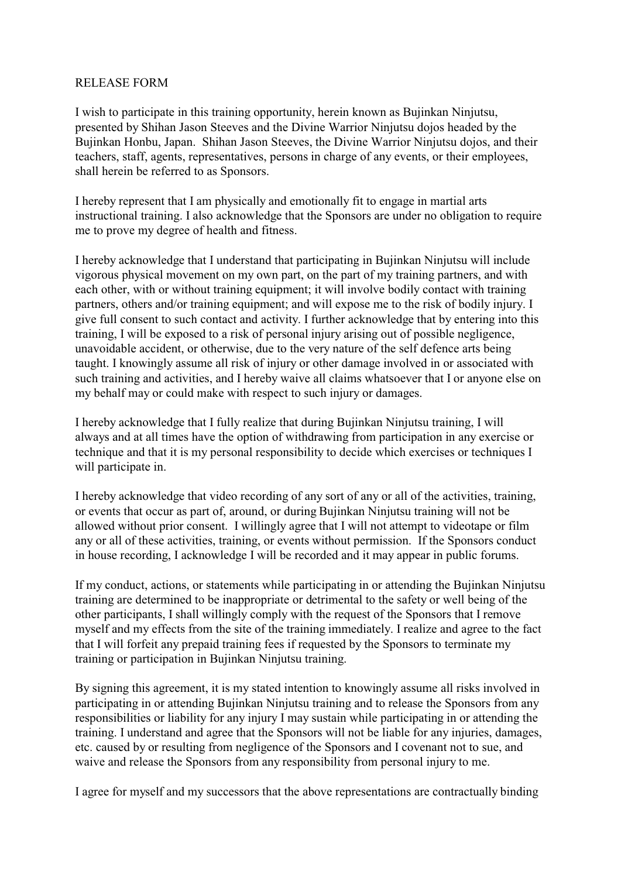## RELEASE FORM

I wish to participate in this training opportunity, herein known as Bujinkan Ninjutsu, presented by Shihan Jason Steeves and the Divine Warrior Ninjutsu dojos headed by the Bujinkan Honbu, Japan. Shihan Jason Steeves, the Divine Warrior Ninjutsu dojos, and their teachers, staff, agents, representatives, persons in charge of any events, or their employees, shall herein be referred to as Sponsors.

I hereby represent that I am physically and emotionally fit to engage in martial arts instructional training. I also acknowledge that the Sponsors are under no obligation to require me to prove my degree of health and fitness.

I hereby acknowledge that I understand that participating in Bujinkan Ninjutsu will include vigorous physical movement on my own part, on the part of my training partners, and with each other, with or without training equipment; it will involve bodily contact with training partners, others and/or training equipment; and will expose me to the risk of bodily injury. I give full consent to such contact and activity. I further acknowledge that by entering into this training, I will be exposed to a risk of personal injury arising out of possible negligence, unavoidable accident, or otherwise, due to the very nature of the self defence arts being taught. I knowingly assume all risk of injury or other damage involved in or associated with such training and activities, and I hereby waive all claims whatsoever that I or anyone else on my behalf may or could make with respect to such injury or damages.

I hereby acknowledge that I fully realize that during Bujinkan Ninjutsu training, I will always and at all times have the option of withdrawing from participation in any exercise or technique and that it is my personal responsibility to decide which exercises or techniques I will participate in.

I hereby acknowledge that video recording of any sort of any or all of the activities, training, or events that occur as part of, around, or during Bujinkan Ninjutsu training will not be allowed without prior consent. I willingly agree that I will not attempt to videotape or film any or all of these activities, training, or events without permission. If the Sponsors conduct in house recording, I acknowledge I will be recorded and it may appear in public forums.

If my conduct, actions, or statements while participating in or attending the Bujinkan Ninjutsu training are determined to be inappropriate or detrimental to the safety or well being of the other participants, I shall willingly comply with the request of the Sponsors that I remove myself and my effects from the site of the training immediately. I realize and agree to the fact that I will forfeit any prepaid training fees if requested by the Sponsors to terminate my training or participation in Bujinkan Ninjutsu training.

By signing this agreement, it is my stated intention to knowingly assume all risks involved in participating in or attending Bujinkan Ninjutsu training and to release the Sponsors from any responsibilities or liability for any injury I may sustain while participating in or attending the training. I understand and agree that the Sponsors will not be liable for any injuries, damages, etc. caused by or resulting from negligence of the Sponsors and I covenant not to sue, and waive and release the Sponsors from any responsibility from personal injury to me.

I agree for myself and my successors that the above representations are contractually binding